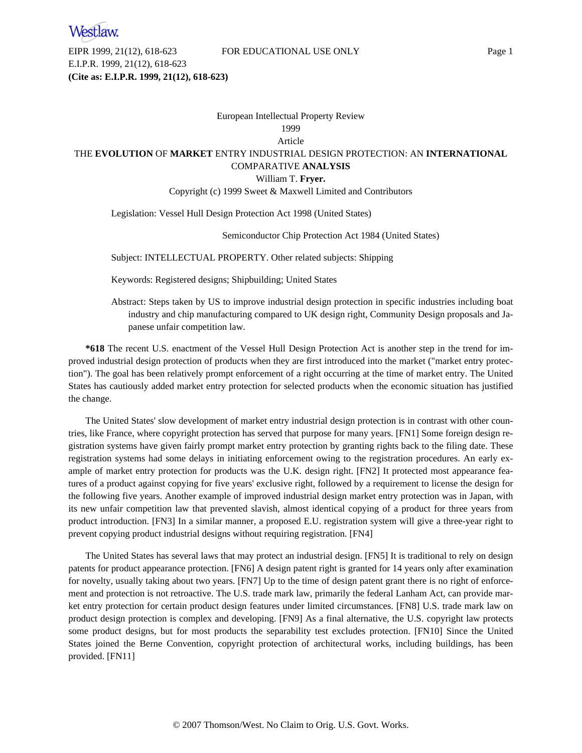EIPR 1999, 21(12), 618-623 FOR EDUCATIONAL USE ONLY Page 1 E.I.P.R. 1999, 21(12), 618-623 **(Cite as: E.I.P.R. 1999, 21(12), 618-623)**

## European Intellectual Property Review

## 1999

## Article

## THE **EVOLUTION** OF **MARKET** ENTRY INDUSTRIAL DESIGN PROTECTION: AN **INTERNATIONAL** COMPARATIVE **ANALYSIS**

#### William T. **Fryer.**

## Copyright (c) 1999 Sweet & Maxwell Limited and Contributors

## Legislation: Vessel Hull Design Protection Act 1998 (United States)

## Semiconductor Chip Protection Act 1984 (United States)

Subject: INTELLECTUAL PROPERTY. Other related subjects: Shipping

Keywords: Registered designs; Shipbuilding; United States

Abstract: Steps taken by US to improve industrial design protection in specific industries including boat industry and chip manufacturing compared to UK design right, Community Design proposals and Japanese unfair competition law.

**\*618** The recent U.S. enactment of the Vessel Hull Design Protection Act is another step in the trend for improved industrial design protection of products when they are first introduced into the market ("market entry protection"). The goal has been relatively prompt enforcement of a right occurring at the time of market entry. The United States has cautiously added market entry protection for selected products when the economic situation has justified the change.

The United States' slow development of market entry industrial design protection is in contrast with other countries, like France, where copyright protection has served that purpose for many years. [FN1] Some foreign design registration systems have given fairly prompt market entry protection by granting rights back to the filing date. These registration systems had some delays in initiating enforcement owing to the registration procedures. An early example of market entry protection for products was the U.K. design right. [FN2] It protected most appearance features of a product against copying for five years' exclusive right, followed by a requirement to license the design for the following five years. Another example of improved industrial design market entry protection was in Japan, with its new unfair competition law that prevented slavish, almost identical copying of a product for three years from product introduction. [FN3] In a similar manner, a proposed E.U. registration system will give a three-year right to prevent copying product industrial designs without requiring registration. [FN4]

The United States has several laws that may protect an industrial design. [FN5] It is traditional to rely on design patents for product appearance protection. [FN6] A design patent right is granted for 14 years only after examination for novelty, usually taking about two years. [FN7] Up to the time of design patent grant there is no right of enforcement and protection is not retroactive. The U.S. trade mark law, primarily the federal Lanham Act, can provide market entry protection for certain product design features under limited circumstances. [FN8] U.S. trade mark law on product design protection is complex and developing. [FN9] As a final alternative, the U.S. copyright law protects some product designs, but for most products the separability test excludes protection. [FN10] Since the United States joined the Berne Convention, copyright protection of architectural works, including buildings, has been provided. [FN11]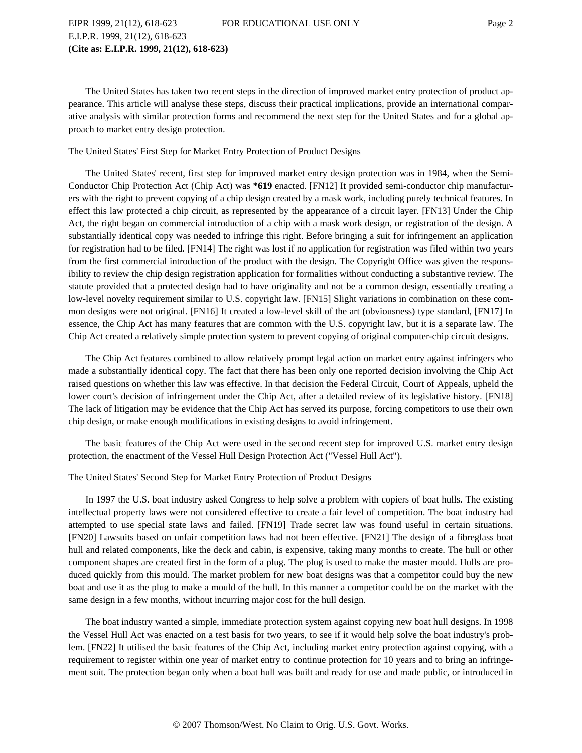The United States has taken two recent steps in the direction of improved market entry protection of product appearance. This article will analyse these steps, discuss their practical implications, provide an international comparative analysis with similar protection forms and recommend the next step for the United States and for a global approach to market entry design protection.

#### The United States' First Step for Market Entry Protection of Product Designs

The United States' recent, first step for improved market entry design protection was in 1984, when the Semi-Conductor Chip Protection Act (Chip Act) was **\*619** enacted. [FN12] It provided semi-conductor chip manufacturers with the right to prevent copying of a chip design created by a mask work, including purely technical features. In effect this law protected a chip circuit, as represented by the appearance of a circuit layer. [FN13] Under the Chip Act, the right began on commercial introduction of a chip with a mask work design, or registration of the design. A substantially identical copy was needed to infringe this right. Before bringing a suit for infringement an application for registration had to be filed. [FN14] The right was lost if no application for registration was filed within two years from the first commercial introduction of the product with the design. The Copyright Office was given the responsibility to review the chip design registration application for formalities without conducting a substantive review. The statute provided that a protected design had to have originality and not be a common design, essentially creating a low-level novelty requirement similar to U.S. copyright law. [FN15] Slight variations in combination on these common designs were not original. [FN16] It created a low-level skill of the art (obviousness) type standard, [FN17] In essence, the Chip Act has many features that are common with the U.S. copyright law, but it is a separate law. The Chip Act created a relatively simple protection system to prevent copying of original computer-chip circuit designs.

The Chip Act features combined to allow relatively prompt legal action on market entry against infringers who made a substantially identical copy. The fact that there has been only one reported decision involving the Chip Act raised questions on whether this law was effective. In that decision the Federal Circuit, Court of Appeals, upheld the lower court's decision of infringement under the Chip Act, after a detailed review of its legislative history. [FN18] The lack of litigation may be evidence that the Chip Act has served its purpose, forcing competitors to use their own chip design, or make enough modifications in existing designs to avoid infringement.

The basic features of the Chip Act were used in the second recent step for improved U.S. market entry design protection, the enactment of the Vessel Hull Design Protection Act ("Vessel Hull Act").

#### The United States' Second Step for Market Entry Protection of Product Designs

In 1997 the U.S. boat industry asked Congress to help solve a problem with copiers of boat hulls. The existing intellectual property laws were not considered effective to create a fair level of competition. The boat industry had attempted to use special state laws and failed. [FN19] Trade secret law was found useful in certain situations. [FN20] Lawsuits based on unfair competition laws had not been effective. [FN21] The design of a fibreglass boat hull and related components, like the deck and cabin, is expensive, taking many months to create. The hull or other component shapes are created first in the form of a plug. The plug is used to make the master mould. Hulls are produced quickly from this mould. The market problem for new boat designs was that a competitor could buy the new boat and use it as the plug to make a mould of the hull. In this manner a competitor could be on the market with the same design in a few months, without incurring major cost for the hull design.

The boat industry wanted a simple, immediate protection system against copying new boat hull designs. In 1998 the Vessel Hull Act was enacted on a test basis for two years, to see if it would help solve the boat industry's problem. [FN22] It utilised the basic features of the Chip Act, including market entry protection against copying, with a requirement to register within one year of market entry to continue protection for 10 years and to bring an infringement suit. The protection began only when a boat hull was built and ready for use and made public, or introduced in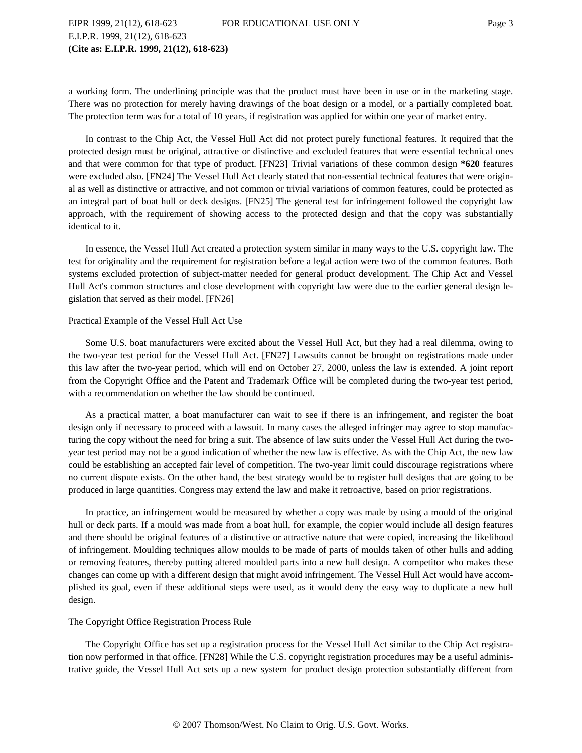a working form. The underlining principle was that the product must have been in use or in the marketing stage. There was no protection for merely having drawings of the boat design or a model, or a partially completed boat. The protection term was for a total of 10 years, if registration was applied for within one year of market entry.

In contrast to the Chip Act, the Vessel Hull Act did not protect purely functional features. It required that the protected design must be original, attractive or distinctive and excluded features that were essential technical ones and that were common for that type of product. [FN23] Trivial variations of these common design **\*620** features were excluded also. [FN24] The Vessel Hull Act clearly stated that non-essential technical features that were original as well as distinctive or attractive, and not common or trivial variations of common features, could be protected as an integral part of boat hull or deck designs. [FN25] The general test for infringement followed the copyright law approach, with the requirement of showing access to the protected design and that the copy was substantially identical to it.

In essence, the Vessel Hull Act created a protection system similar in many ways to the U.S. copyright law. The test for originality and the requirement for registration before a legal action were two of the common features. Both systems excluded protection of subject-matter needed for general product development. The Chip Act and Vessel Hull Act's common structures and close development with copyright law were due to the earlier general design legislation that served as their model. [FN26]

#### Practical Example of the Vessel Hull Act Use

Some U.S. boat manufacturers were excited about the Vessel Hull Act, but they had a real dilemma, owing to the two-year test period for the Vessel Hull Act. [FN27] Lawsuits cannot be brought on registrations made under this law after the two-year period, which will end on October 27, 2000, unless the law is extended. A joint report from the Copyright Office and the Patent and Trademark Office will be completed during the two-year test period, with a recommendation on whether the law should be continued.

As a practical matter, a boat manufacturer can wait to see if there is an infringement, and register the boat design only if necessary to proceed with a lawsuit. In many cases the alleged infringer may agree to stop manufacturing the copy without the need for bring a suit. The absence of law suits under the Vessel Hull Act during the twoyear test period may not be a good indication of whether the new law is effective. As with the Chip Act, the new law could be establishing an accepted fair level of competition. The two-year limit could discourage registrations where no current dispute exists. On the other hand, the best strategy would be to register hull designs that are going to be produced in large quantities. Congress may extend the law and make it retroactive, based on prior registrations.

In practice, an infringement would be measured by whether a copy was made by using a mould of the original hull or deck parts. If a mould was made from a boat hull, for example, the copier would include all design features and there should be original features of a distinctive or attractive nature that were copied, increasing the likelihood of infringement. Moulding techniques allow moulds to be made of parts of moulds taken of other hulls and adding or removing features, thereby putting altered moulded parts into a new hull design. A competitor who makes these changes can come up with a different design that might avoid infringement. The Vessel Hull Act would have accomplished its goal, even if these additional steps were used, as it would deny the easy way to duplicate a new hull design.

## The Copyright Office Registration Process Rule

The Copyright Office has set up a registration process for the Vessel Hull Act similar to the Chip Act registration now performed in that office. [FN28] While the U.S. copyright registration procedures may be a useful administrative guide, the Vessel Hull Act sets up a new system for product design protection substantially different from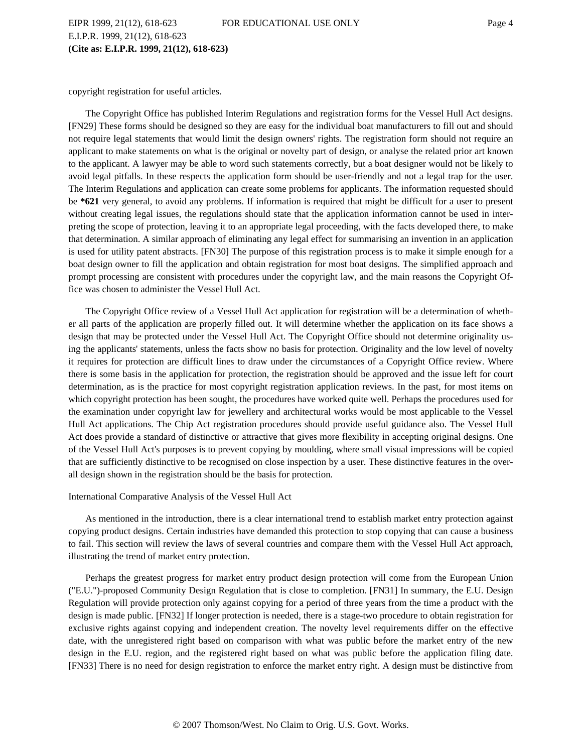E.I.P.R. 1999, 21(12), 618-623 **(Cite as: E.I.P.R. 1999, 21(12), 618-623)**

copyright registration for useful articles.

The Copyright Office has published Interim Regulations and registration forms for the Vessel Hull Act designs. [FN29] These forms should be designed so they are easy for the individual boat manufacturers to fill out and should not require legal statements that would limit the design owners' rights. The registration form should not require an applicant to make statements on what is the original or novelty part of design, or analyse the related prior art known to the applicant. A lawyer may be able to word such statements correctly, but a boat designer would not be likely to avoid legal pitfalls. In these respects the application form should be user-friendly and not a legal trap for the user. The Interim Regulations and application can create some problems for applicants. The information requested should be **\*621** very general, to avoid any problems. If information is required that might be difficult for a user to present without creating legal issues, the regulations should state that the application information cannot be used in interpreting the scope of protection, leaving it to an appropriate legal proceeding, with the facts developed there, to make that determination. A similar approach of eliminating any legal effect for summarising an invention in an application is used for utility patent abstracts. [FN30] The purpose of this registration process is to make it simple enough for a boat design owner to fill the application and obtain registration for most boat designs. The simplified approach and prompt processing are consistent with procedures under the copyright law, and the main reasons the Copyright Office was chosen to administer the Vessel Hull Act.

The Copyright Office review of a Vessel Hull Act application for registration will be a determination of whether all parts of the application are properly filled out. It will determine whether the application on its face shows a design that may be protected under the Vessel Hull Act. The Copyright Office should not determine originality using the applicants' statements, unless the facts show no basis for protection. Originality and the low level of novelty it requires for protection are difficult lines to draw under the circumstances of a Copyright Office review. Where there is some basis in the application for protection, the registration should be approved and the issue left for court determination, as is the practice for most copyright registration application reviews. In the past, for most items on which copyright protection has been sought, the procedures have worked quite well. Perhaps the procedures used for the examination under copyright law for jewellery and architectural works would be most applicable to the Vessel Hull Act applications. The Chip Act registration procedures should provide useful guidance also. The Vessel Hull Act does provide a standard of distinctive or attractive that gives more flexibility in accepting original designs. One of the Vessel Hull Act's purposes is to prevent copying by moulding, where small visual impressions will be copied that are sufficiently distinctive to be recognised on close inspection by a user. These distinctive features in the overall design shown in the registration should be the basis for protection.

#### International Comparative Analysis of the Vessel Hull Act

As mentioned in the introduction, there is a clear international trend to establish market entry protection against copying product designs. Certain industries have demanded this protection to stop copying that can cause a business to fail. This section will review the laws of several countries and compare them with the Vessel Hull Act approach, illustrating the trend of market entry protection.

Perhaps the greatest progress for market entry product design protection will come from the European Union ("E.U.")-proposed Community Design Regulation that is close to completion. [FN31] In summary, the E.U. Design Regulation will provide protection only against copying for a period of three years from the time a product with the design is made public. [FN32] If longer protection is needed, there is a stage-two procedure to obtain registration for exclusive rights against copying and independent creation. The novelty level requirements differ on the effective date, with the unregistered right based on comparison with what was public before the market entry of the new design in the E.U. region, and the registered right based on what was public before the application filing date. [FN33] There is no need for design registration to enforce the market entry right. A design must be distinctive from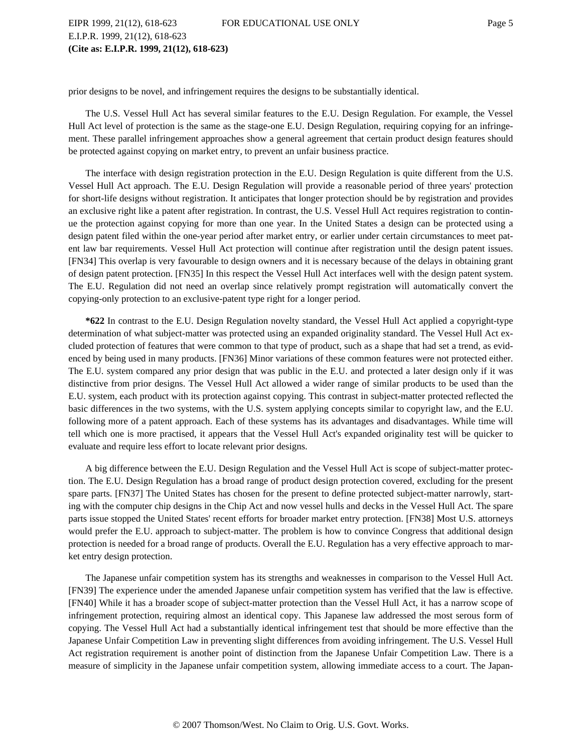# EIPR 1999, 21(12), 618-623 FOR EDUCATIONAL USE ONLY Page 5 E.I.P.R. 1999, 21(12), 618-623 **(Cite as: E.I.P.R. 1999, 21(12), 618-623)**

prior designs to be novel, and infringement requires the designs to be substantially identical.

The U.S. Vessel Hull Act has several similar features to the E.U. Design Regulation. For example, the Vessel Hull Act level of protection is the same as the stage-one E.U. Design Regulation, requiring copying for an infringement. These parallel infringement approaches show a general agreement that certain product design features should be protected against copying on market entry, to prevent an unfair business practice.

The interface with design registration protection in the E.U. Design Regulation is quite different from the U.S. Vessel Hull Act approach. The E.U. Design Regulation will provide a reasonable period of three years' protection for short-life designs without registration. It anticipates that longer protection should be by registration and provides an exclusive right like a patent after registration. In contrast, the U.S. Vessel Hull Act requires registration to continue the protection against copying for more than one year. In the United States a design can be protected using a design patent filed within the one-year period after market entry, or earlier under certain circumstances to meet patent law bar requirements. Vessel Hull Act protection will continue after registration until the design patent issues. [FN34] This overlap is very favourable to design owners and it is necessary because of the delays in obtaining grant of design patent protection. [FN35] In this respect the Vessel Hull Act interfaces well with the design patent system. The E.U. Regulation did not need an overlap since relatively prompt registration will automatically convert the copying-only protection to an exclusive-patent type right for a longer period.

**\*622** In contrast to the E.U. Design Regulation novelty standard, the Vessel Hull Act applied a copyright-type determination of what subject-matter was protected using an expanded originality standard. The Vessel Hull Act excluded protection of features that were common to that type of product, such as a shape that had set a trend, as evidenced by being used in many products. [FN36] Minor variations of these common features were not protected either. The E.U. system compared any prior design that was public in the E.U. and protected a later design only if it was distinctive from prior designs. The Vessel Hull Act allowed a wider range of similar products to be used than the E.U. system, each product with its protection against copying. This contrast in subject-matter protected reflected the basic differences in the two systems, with the U.S. system applying concepts similar to copyright law, and the E.U. following more of a patent approach. Each of these systems has its advantages and disadvantages. While time will tell which one is more practised, it appears that the Vessel Hull Act's expanded originality test will be quicker to evaluate and require less effort to locate relevant prior designs.

A big difference between the E.U. Design Regulation and the Vessel Hull Act is scope of subject-matter protection. The E.U. Design Regulation has a broad range of product design protection covered, excluding for the present spare parts. [FN37] The United States has chosen for the present to define protected subject-matter narrowly, starting with the computer chip designs in the Chip Act and now vessel hulls and decks in the Vessel Hull Act. The spare parts issue stopped the United States' recent efforts for broader market entry protection. [FN38] Most U.S. attorneys would prefer the E.U. approach to subject-matter. The problem is how to convince Congress that additional design protection is needed for a broad range of products. Overall the E.U. Regulation has a very effective approach to market entry design protection.

The Japanese unfair competition system has its strengths and weaknesses in comparison to the Vessel Hull Act. [FN39] The experience under the amended Japanese unfair competition system has verified that the law is effective. [FN40] While it has a broader scope of subject-matter protection than the Vessel Hull Act, it has a narrow scope of infringement protection, requiring almost an identical copy. This Japanese law addressed the most serous form of copying. The Vessel Hull Act had a substantially identical infringement test that should be more effective than the Japanese Unfair Competition Law in preventing slight differences from avoiding infringement. The U.S. Vessel Hull Act registration requirement is another point of distinction from the Japanese Unfair Competition Law. There is a measure of simplicity in the Japanese unfair competition system, allowing immediate access to a court. The Japan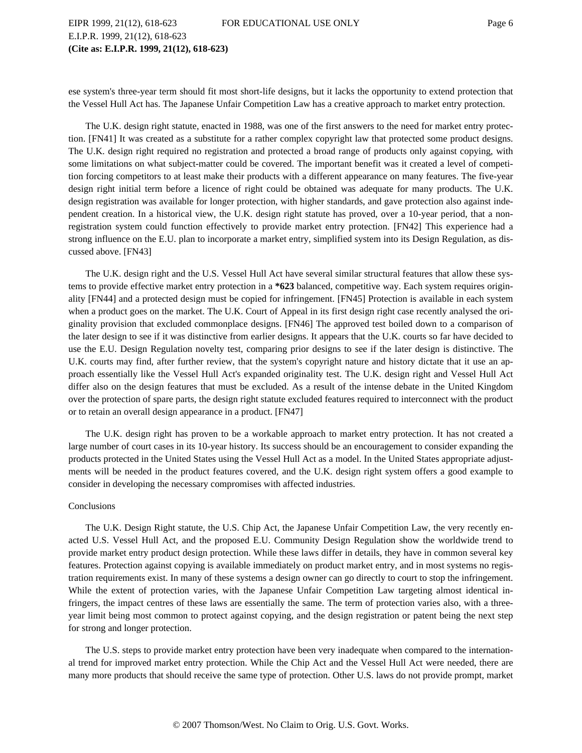ese system's three-year term should fit most short-life designs, but it lacks the opportunity to extend protection that the Vessel Hull Act has. The Japanese Unfair Competition Law has a creative approach to market entry protection.

The U.K. design right statute, enacted in 1988, was one of the first answers to the need for market entry protection. [FN41] It was created as a substitute for a rather complex copyright law that protected some product designs. The U.K. design right required no registration and protected a broad range of products only against copying, with some limitations on what subject-matter could be covered. The important benefit was it created a level of competition forcing competitors to at least make their products with a different appearance on many features. The five-year design right initial term before a licence of right could be obtained was adequate for many products. The U.K. design registration was available for longer protection, with higher standards, and gave protection also against independent creation. In a historical view, the U.K. design right statute has proved, over a 10-year period, that a nonregistration system could function effectively to provide market entry protection. [FN42] This experience had a strong influence on the E.U. plan to incorporate a market entry, simplified system into its Design Regulation, as discussed above. [FN43]

The U.K. design right and the U.S. Vessel Hull Act have several similar structural features that allow these systems to provide effective market entry protection in a **\*623** balanced, competitive way. Each system requires originality [FN44] and a protected design must be copied for infringement. [FN45] Protection is available in each system when a product goes on the market. The U.K. Court of Appeal in its first design right case recently analysed the originality provision that excluded commonplace designs. [FN46] The approved test boiled down to a comparison of the later design to see if it was distinctive from earlier designs. It appears that the U.K. courts so far have decided to use the E.U. Design Regulation novelty test, comparing prior designs to see if the later design is distinctive. The U.K. courts may find, after further review, that the system's copyright nature and history dictate that it use an approach essentially like the Vessel Hull Act's expanded originality test. The U.K. design right and Vessel Hull Act differ also on the design features that must be excluded. As a result of the intense debate in the United Kingdom over the protection of spare parts, the design right statute excluded features required to interconnect with the product or to retain an overall design appearance in a product. [FN47]

The U.K. design right has proven to be a workable approach to market entry protection. It has not created a large number of court cases in its 10-year history. Its success should be an encouragement to consider expanding the products protected in the United States using the Vessel Hull Act as a model. In the United States appropriate adjustments will be needed in the product features covered, and the U.K. design right system offers a good example to consider in developing the necessary compromises with affected industries.

#### Conclusions

The U.K. Design Right statute, the U.S. Chip Act, the Japanese Unfair Competition Law, the very recently enacted U.S. Vessel Hull Act, and the proposed E.U. Community Design Regulation show the worldwide trend to provide market entry product design protection. While these laws differ in details, they have in common several key features. Protection against copying is available immediately on product market entry, and in most systems no registration requirements exist. In many of these systems a design owner can go directly to court to stop the infringement. While the extent of protection varies, with the Japanese Unfair Competition Law targeting almost identical infringers, the impact centres of these laws are essentially the same. The term of protection varies also, with a threeyear limit being most common to protect against copying, and the design registration or patent being the next step for strong and longer protection.

The U.S. steps to provide market entry protection have been very inadequate when compared to the international trend for improved market entry protection. While the Chip Act and the Vessel Hull Act were needed, there are many more products that should receive the same type of protection. Other U.S. laws do not provide prompt, market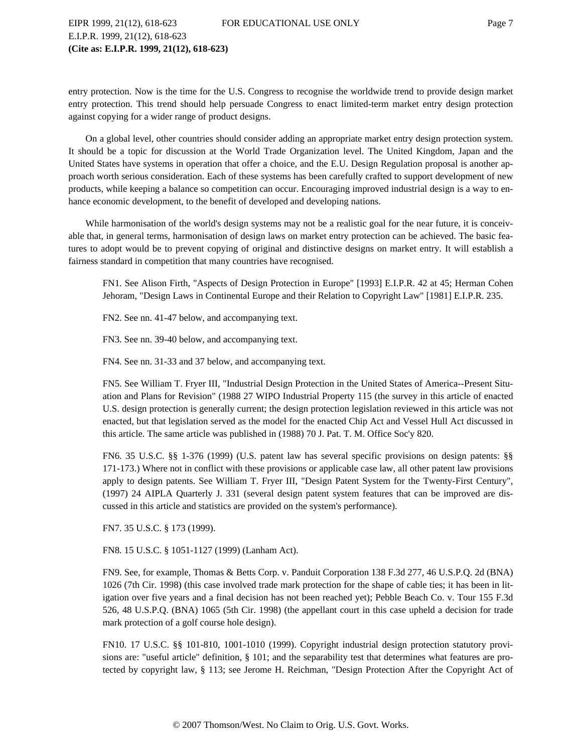# EIPR 1999, 21(12), 618-623 FOR EDUCATIONAL USE ONLY Page 7 E.I.P.R. 1999, 21(12), 618-623 **(Cite as: E.I.P.R. 1999, 21(12), 618-623)**

entry protection. Now is the time for the U.S. Congress to recognise the worldwide trend to provide design market entry protection. This trend should help persuade Congress to enact limited-term market entry design protection against copying for a wider range of product designs.

On a global level, other countries should consider adding an appropriate market entry design protection system. It should be a topic for discussion at the World Trade Organization level. The United Kingdom, Japan and the United States have systems in operation that offer a choice, and the E.U. Design Regulation proposal is another approach worth serious consideration. Each of these systems has been carefully crafted to support development of new products, while keeping a balance so competition can occur. Encouraging improved industrial design is a way to enhance economic development, to the benefit of developed and developing nations.

While harmonisation of the world's design systems may not be a realistic goal for the near future, it is conceivable that, in general terms, harmonisation of design laws on market entry protection can be achieved. The basic features to adopt would be to prevent copying of original and distinctive designs on market entry. It will establish a fairness standard in competition that many countries have recognised.

FN1. See Alison Firth, "Aspects of Design Protection in Europe" [1993] E.I.P.R. 42 at 45; Herman Cohen Jehoram, "Design Laws in Continental Europe and their Relation to Copyright Law" [1981] E.I.P.R. 235.

FN2. See nn. 41-47 below, and accompanying text.

FN3. See nn. 39-40 below, and accompanying text.

FN4. See nn. 31-33 and 37 below, and accompanying text.

FN5. See William T. Fryer III, "Industrial Design Protection in the United States of America--Present Situation and Plans for Revision" (1988 27 WIPO Industrial Property 115 (the survey in this article of enacted U.S. design protection is generally current; the design protection legislation reviewed in this article was not enacted, but that legislation served as the model for the enacted Chip Act and Vessel Hull Act discussed in this article. The same article was published in (1988) 70 J. Pat. T. M. Office Soc'y 820.

FN6. 35 U.S.C. §§ 1-376 (1999) (U.S. patent law has several specific provisions on design patents: §§ 171-173.) Where not in conflict with these provisions or applicable case law, all other patent law provisions apply to design patents. See William T. Fryer III, "Design Patent System for the Twenty-First Century", (1997) 24 AIPLA Quarterly J. 331 (several design patent system features that can be improved are discussed in this article and statistics are provided on the system's performance).

FN7. 35 U.S.C. § 173 (1999).

FN8. 15 U.S.C. § 1051-1127 (1999) (Lanham Act).

FN9. See, for example, Thomas & Betts Corp. v. Panduit Corporation 138 F.3d 277, 46 U.S.P.Q. 2d (BNA) 1026 (7th Cir. 1998) (this case involved trade mark protection for the shape of cable ties; it has been in litigation over five years and a final decision has not been reached yet); Pebble Beach Co. v. Tour 155 F.3d 526, 48 U.S.P.Q. (BNA) 1065 (5th Cir. 1998) (the appellant court in this case upheld a decision for trade mark protection of a golf course hole design).

FN10. 17 U.S.C. §§ 101-810, 1001-1010 (1999). Copyright industrial design protection statutory provisions are: "useful article" definition, § 101; and the separability test that determines what features are protected by copyright law, § 113; see Jerome H. Reichman, "Design Protection After the Copyright Act of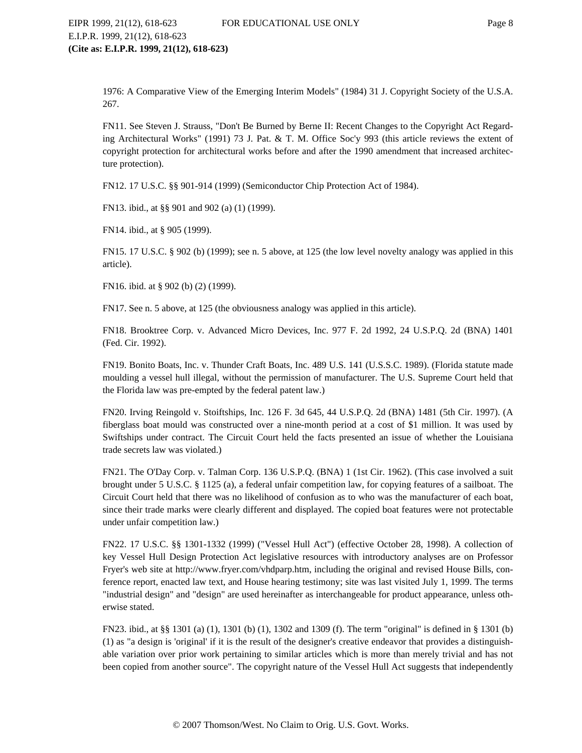1976: A Comparative View of the Emerging Interim Models" (1984) 31 J. Copyright Society of the U.S.A. 267.

FN11. See Steven J. Strauss, "Don't Be Burned by Berne II: Recent Changes to the Copyright Act Regarding Architectural Works" (1991) 73 J. Pat. & T. M. Office Soc'y 993 (this article reviews the extent of copyright protection for architectural works before and after the 1990 amendment that increased architecture protection).

FN12. 17 U.S.C. §§ 901-914 (1999) (Semiconductor Chip Protection Act of 1984).

FN13. ibid., at §§ 901 and 902 (a) (1) (1999).

FN14. ibid., at § 905 (1999).

FN15. 17 U.S.C. § 902 (b) (1999); see n. 5 above, at 125 (the low level novelty analogy was applied in this article).

FN16. ibid. at § 902 (b) (2) (1999).

FN17. See n. 5 above, at 125 (the obviousness analogy was applied in this article).

FN18. Brooktree Corp. v. Advanced Micro Devices, Inc. 977 F. 2d 1992, 24 U.S.P.Q. 2d (BNA) 1401 (Fed. Cir. 1992).

FN19. Bonito Boats, Inc. v. Thunder Craft Boats, Inc. 489 U.S. 141 (U.S.S.C. 1989). (Florida statute made moulding a vessel hull illegal, without the permission of manufacturer. The U.S. Supreme Court held that the Florida law was pre-empted by the federal patent law.)

FN20. Irving Reingold v. Stoiftships, Inc. 126 F. 3d 645, 44 U.S.P.Q. 2d (BNA) 1481 (5th Cir. 1997). (A fiberglass boat mould was constructed over a nine-month period at a cost of \$1 million. It was used by Swiftships under contract. The Circuit Court held the facts presented an issue of whether the Louisiana trade secrets law was violated.)

FN21. The O'Day Corp. v. Talman Corp. 136 U.S.P.Q. (BNA) 1 (1st Cir. 1962). (This case involved a suit brought under 5 U.S.C. § 1125 (a), a federal unfair competition law, for copying features of a sailboat. The Circuit Court held that there was no likelihood of confusion as to who was the manufacturer of each boat, since their trade marks were clearly different and displayed. The copied boat features were not protectable under unfair competition law.)

FN22. 17 U.S.C. §§ 1301-1332 (1999) ("Vessel Hull Act") (effective October 28, 1998). A collection of key Vessel Hull Design Protection Act legislative resources with introductory analyses are on Professor Fryer's web site at http://www.fryer.com/vhdparp.htm, including the original and revised House Bills, conference report, enacted law text, and House hearing testimony; site was last visited July 1, 1999. The terms "industrial design" and "design" are used hereinafter as interchangeable for product appearance, unless otherwise stated.

FN23. ibid., at §§ 1301 (a) (1), 1301 (b) (1), 1302 and 1309 (f). The term "original" is defined in § 1301 (b) (1) as "a design is 'original' if it is the result of the designer's creative endeavor that provides a distinguishable variation over prior work pertaining to similar articles which is more than merely trivial and has not been copied from another source". The copyright nature of the Vessel Hull Act suggests that independently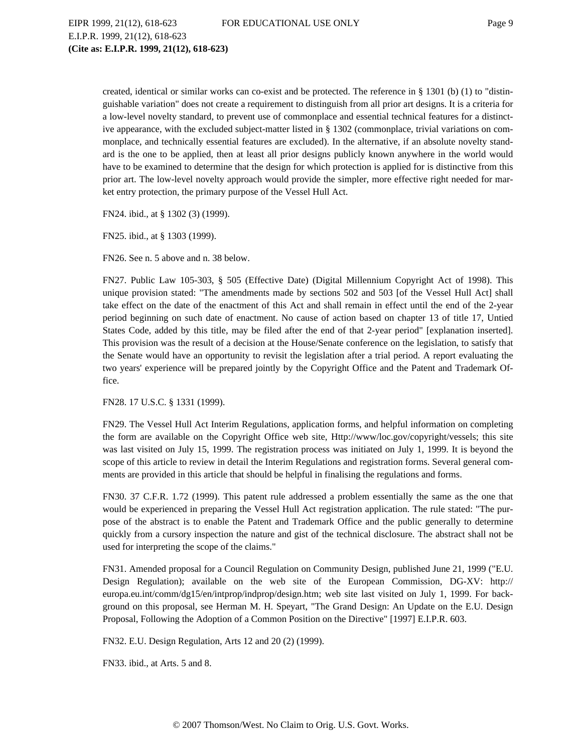EIPR 1999, 21(12), 618-623 FOR EDUCATIONAL USE ONLY Page 9 E.I.P.R. 1999, 21(12), 618-623 **(Cite as: E.I.P.R. 1999, 21(12), 618-623)**

created, identical or similar works can co-exist and be protected. The reference in § 1301 (b) (1) to "distinguishable variation" does not create a requirement to distinguish from all prior art designs. It is a criteria for a low-level novelty standard, to prevent use of commonplace and essential technical features for a distinctive appearance, with the excluded subject-matter listed in § 1302 (commonplace, trivial variations on commonplace, and technically essential features are excluded). In the alternative, if an absolute novelty standard is the one to be applied, then at least all prior designs publicly known anywhere in the world would have to be examined to determine that the design for which protection is applied for is distinctive from this prior art. The low-level novelty approach would provide the simpler, more effective right needed for market entry protection, the primary purpose of the Vessel Hull Act.

FN24. ibid., at § 1302 (3) (1999).

FN25. ibid., at § 1303 (1999).

FN26. See n. 5 above and n. 38 below.

FN27. Public Law 105-303, § 505 (Effective Date) (Digital Millennium Copyright Act of 1998). This unique provision stated: "The amendments made by sections 502 and 503 [of the Vessel Hull Act] shall take effect on the date of the enactment of this Act and shall remain in effect until the end of the 2-year period beginning on such date of enactment. No cause of action based on chapter 13 of title 17, Untied States Code, added by this title, may be filed after the end of that 2-year period" [explanation inserted]. This provision was the result of a decision at the House/Senate conference on the legislation, to satisfy that the Senate would have an opportunity to revisit the legislation after a trial period. A report evaluating the two years' experience will be prepared jointly by the Copyright Office and the Patent and Trademark Office.

FN28. 17 U.S.C. § 1331 (1999).

FN29. The Vessel Hull Act Interim Regulations, application forms, and helpful information on completing the form are available on the Copyright Office web site, Http://www/loc.gov/copyright/vessels; this site was last visited on July 15, 1999. The registration process was initiated on July 1, 1999. It is beyond the scope of this article to review in detail the Interim Regulations and registration forms. Several general comments are provided in this article that should be helpful in finalising the regulations and forms.

FN30. 37 C.F.R. 1.72 (1999). This patent rule addressed a problem essentially the same as the one that would be experienced in preparing the Vessel Hull Act registration application. The rule stated: "The purpose of the abstract is to enable the Patent and Trademark Office and the public generally to determine quickly from a cursory inspection the nature and gist of the technical disclosure. The abstract shall not be used for interpreting the scope of the claims."

FN31. Amended proposal for a Council Regulation on Community Design, published June 21, 1999 ("E.U. Design Regulation); available on the web site of the European Commission, DG-XV: http:// europa.eu.int/comm/dg15/en/intprop/indprop/design.htm; web site last visited on July 1, 1999. For background on this proposal, see Herman M. H. Speyart, "The Grand Design: An Update on the E.U. Design Proposal, Following the Adoption of a Common Position on the Directive" [1997] E.I.P.R. 603.

FN32. E.U. Design Regulation, Arts 12 and 20 (2) (1999).

FN33. ibid., at Arts. 5 and 8.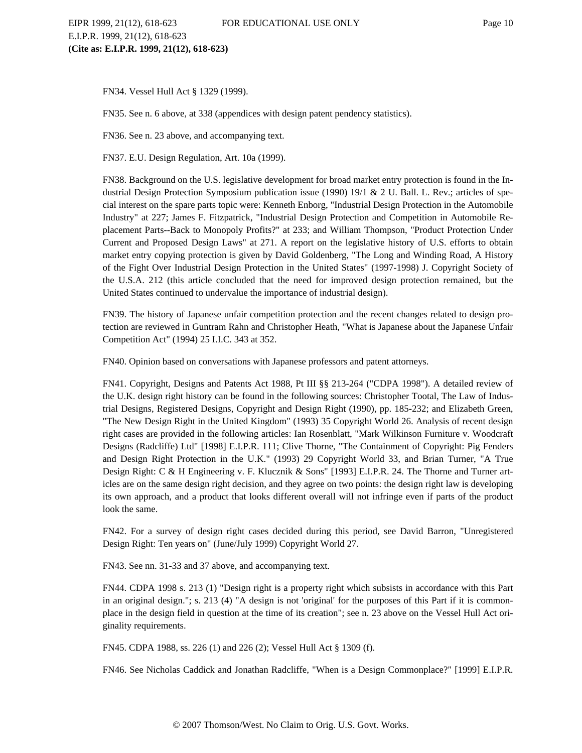FN34. Vessel Hull Act § 1329 (1999).

FN35. See n. 6 above, at 338 (appendices with design patent pendency statistics).

FN36. See n. 23 above, and accompanying text.

FN37. E.U. Design Regulation, Art. 10a (1999).

FN38. Background on the U.S. legislative development for broad market entry protection is found in the Industrial Design Protection Symposium publication issue (1990) 19/1 & 2 U. Ball. L. Rev.; articles of special interest on the spare parts topic were: Kenneth Enborg, "Industrial Design Protection in the Automobile Industry" at 227; James F. Fitzpatrick, "Industrial Design Protection and Competition in Automobile Replacement Parts--Back to Monopoly Profits?" at 233; and William Thompson, "Product Protection Under Current and Proposed Design Laws" at 271. A report on the legislative history of U.S. efforts to obtain market entry copying protection is given by David Goldenberg, "The Long and Winding Road, A History of the Fight Over Industrial Design Protection in the United States" (1997-1998) J. Copyright Society of the U.S.A. 212 (this article concluded that the need for improved design protection remained, but the United States continued to undervalue the importance of industrial design).

FN39. The history of Japanese unfair competition protection and the recent changes related to design protection are reviewed in Guntram Rahn and Christopher Heath, "What is Japanese about the Japanese Unfair Competition Act" (1994) 25 I.I.C. 343 at 352.

FN40. Opinion based on conversations with Japanese professors and patent attorneys.

FN41. Copyright, Designs and Patents Act 1988, Pt III §§ 213-264 ("CDPA 1998"). A detailed review of the U.K. design right history can be found in the following sources: Christopher Tootal, The Law of Industrial Designs, Registered Designs, Copyright and Design Right (1990), pp. 185-232; and Elizabeth Green, "The New Design Right in the United Kingdom" (1993) 35 Copyright World 26. Analysis of recent design right cases are provided in the following articles: Ian Rosenblatt, "Mark Wilkinson Furniture v. Woodcraft Designs (Radcliffe) Ltd" [1998] E.I.P.R. 111; Clive Thorne, "The Containment of Copyright: Pig Fenders and Design Right Protection in the U.K." (1993) 29 Copyright World 33, and Brian Turner, "A True Design Right: C & H Engineering v. F. Klucznik & Sons" [1993] E.I.P.R. 24. The Thorne and Turner articles are on the same design right decision, and they agree on two points: the design right law is developing its own approach, and a product that looks different overall will not infringe even if parts of the product look the same.

FN42. For a survey of design right cases decided during this period, see David Barron, "Unregistered Design Right: Ten years on" (June/July 1999) Copyright World 27.

FN43. See nn. 31-33 and 37 above, and accompanying text.

FN44. CDPA 1998 s. 213 (1) "Design right is a property right which subsists in accordance with this Part in an original design."; s. 213 (4) "A design is not 'original' for the purposes of this Part if it is commonplace in the design field in question at the time of its creation"; see n. 23 above on the Vessel Hull Act originality requirements.

FN45. CDPA 1988, ss. 226 (1) and 226 (2); Vessel Hull Act § 1309 (f).

FN46. See Nicholas Caddick and Jonathan Radcliffe, "When is a Design Commonplace?" [1999] E.I.P.R.